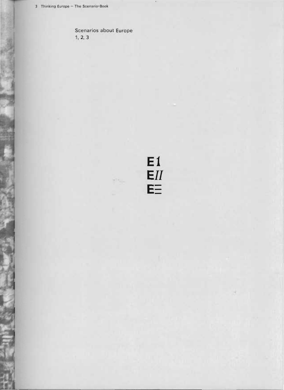Scenarios about Europe  $1, 2, 3$ 

 $E1$ <br> $EII$ <br> $E \equiv$ 

 $\mathcal{L}(\mathcal{A}_{\mathcal{A},\mathcal{A}})$ 

 $\mathcal{L}$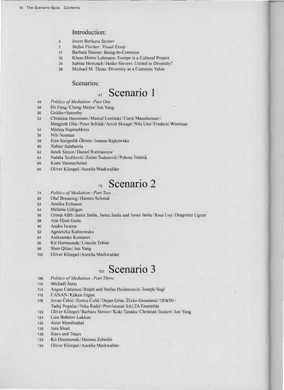### Introduction:

- 5 **Insert Barbara Steiner**
- $\overline{7}$ Stefan Fischer: Visual Essay
- Barbara Steiner: Being-In-Common  $17$
- Klaus-Dieter Lehmann: Europe is a Cultural Project  $32$
- 34 Sabine Hentzsch/Heiko Sievers: United in Diversity?
- Michael M. Thoss: Diversity as a Common Value 38

### Scenarios:

#### Scenario 1  $41$

- Politics of Mediation-Part One  $42$
- 48 Hu Fang/Cheng Meiya/Jun Yang
- 50 Goldin+Senneby
- Christina Herrstrøm/Marcel Łoziński/Carin Mannheimer/ 52
- Margreth Olin/Peter Schildt/Arvid Skauge/Nils Utsi/Frederic Wiseman
- Marina Naprushkina 54
- Nils Norman 56
- 58 Esra Sarigedik Öktem/Joanna Rajkowska
- 60 Xabier Salaberria
- Janek Simon/Daniel Rumiancew  $62$
- Nataša Teofilović/Zoran Todorović/Polona Tratnik 64
- Koen Vanmechelen 66
- Oliver Klimpel/Aurelia Markwalder 68

#### Scenario 2  $73$

- 74 **Politics of Mediation-Part Two**
- Olaf Breuning/Hannes Schmid 80
- 82 Annika Eriksson
- Melanie Gilligan  $84$
- 86 Group ABS/Janez Janša, Janez Janša and Janez Janša/Rosa Loy/Dragomir Ugren
- 88 Ane Hjort Guttu
- Asako Iwama 90
- 92 Agnieszka Kalinowska
- Aleksander Komarov  $Q_{\Delta}$
- Kit Hammonds/Lincoln Tobier 96
- 98 Shen Qilan/Jun Yang
- $100$ Oliver Klimpel/Aurelia Markwalder

# 105 Scenario 3

- **Politics of Mediation-Part Three** 106
- Michaël Aerts 112
- 114 Angus Cameron/Ralph and Stefan Heidenreich/Joseph Vogl
- 116 CANAN/Köken Ergun
- Jovan Čekić/Zorica Čolić/Dejan Grba/Živko Grozdanić/IRWIN/ 118 Tadej Pogaćar/Nika Radić/Provisional SALTA Ensemble
- Oliver Klimpel/Barbara Steiner/Koki Tanaka/Christian Teckert/Jun Yang 122
- Line Bøhmer Løkken 124
- 126 Asier Mendizabal
- 128 Jura Shust
- **Slavs and Tatars** 130
- 132 Kit Hammonds/Hannes Zebedin
- 134 Oliver Klimpel/Aurelia Markwalder